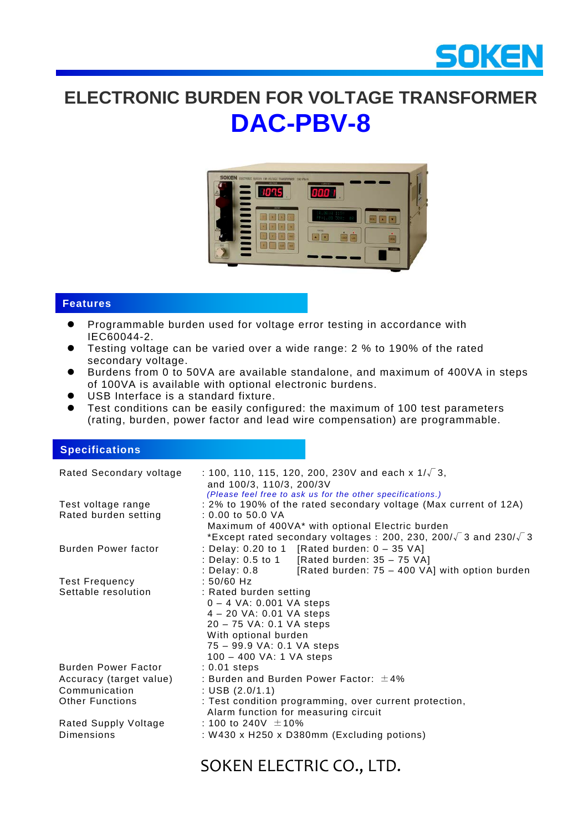

# **ELECTRONIC BURDEN FOR VOLTAGE TRANSFORMER DAC-PBV-8**



### **Features**

- Programmable burden used for voltage error testing in accordance with IEC60044-2.
- Testing voltage can be varied over a wide range: 2 % to 190% of the rated secondary voltage.
- Burdens from 0 to 50VA are available standalone, and maximum of 400VA in steps of 100VA is available with optional electronic burdens.
- USB Interface is a standard fixture.
- Test conditions can be easily configured: the maximum of 100 test parameters (rating, burden, power factor and lead wire compensation) are programmable.

#### **Specifications**

| Rated Secondary voltage                    | : 100, 110, 115, 120, 200, 230V and each x $1/\sqrt{3}$ ,<br>and 100/3, 110/3, 200/3V<br>(Please feel free to ask us for the other specifications.)                                            |
|--------------------------------------------|------------------------------------------------------------------------------------------------------------------------------------------------------------------------------------------------|
| Test voltage range<br>Rated burden setting | : 2% to 190% of the rated secondary voltage (Max current of 12A)<br>$: 0.00$ to $50.0$ VA                                                                                                      |
|                                            | Maximum of 400VA* with optional Electric burden<br>*Except rated secondary voltages : 200, 230, 200/ $\sqrt{3}$ and 230/ $\sqrt{3}$                                                            |
| <b>Burden Power factor</b>                 | : Delay: 0.20 to 1 [Rated burden: $0 - 35$ VA]                                                                                                                                                 |
|                                            | : Delay: 0.5 to 1 [Rated burden: 35 - 75 VA]<br>: Delay: $0.8$ [Rated burden: $75 - 400$ VA] with option burden                                                                                |
| <b>Test Frequency</b>                      | $: 50/60$ Hz                                                                                                                                                                                   |
| Settable resolution                        | : Rated burden setting<br>$0 - 4$ VA: 0.001 VA steps<br>4 - 20 VA: 0.01 VA steps<br>20 - 75 VA: 0.1 VA steps<br>With optional burden<br>75 - 99.9 VA: 0.1 VA steps<br>100 - 400 VA: 1 VA steps |
| Burden Power Factor                        | $: 0.01$ steps                                                                                                                                                                                 |
| Accuracy (target value)                    | : Burden and Burden Power Factor: $\pm 4\%$                                                                                                                                                    |
| Communication                              | : USB $(2.0/1.1)$                                                                                                                                                                              |
| <b>Other Functions</b>                     | : Test condition programming, over current protection,<br>Alarm function for measuring circuit                                                                                                 |
| Rated Supply Voltage                       | : 100 to 240V $\pm$ 10%                                                                                                                                                                        |
| Dimensions                                 | : W430 x H250 x D380mm (Excluding potions)                                                                                                                                                     |

## SOKEN ELECTRIC CO., LTD.